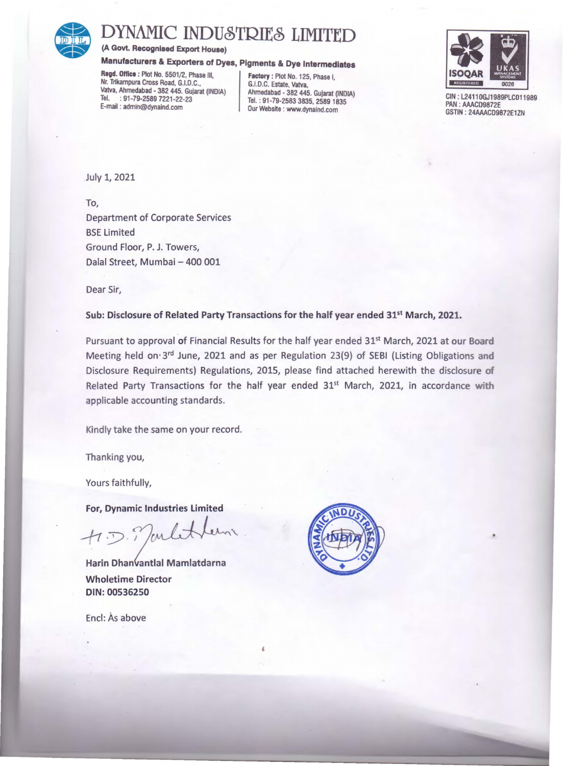

## DYNAMIC INDUSTRIES LIMITED<br>
(A Govt. Recognised Export House)<br>
Manufacturers & Exporters of Dyes, Pigments & Dye Intermediates<br>
Regd. Office : Plot No. 5501/2, Phase III,<br>
Nr. Trikampura Cross Road, G.I.D.C.,<br>
Vatva, Ahmed

(A Govt. Recognised Export House)

## Manufacturers & Exporters of Dyes, Pigments & Dye Intermediates

Regd. Office : Plot No. 5501/2, Phase III, Nr. Trikampura Cross Road, G.I.D.C., Vatva, Ahmedabad • 382 445. Gujarat (INDIA) Ahmedabad • 382 445. Gujarat (INDIA) Tel. : 91-79-2589 7221-22-23<br>  $E$ -mail : admin@dynaind.com  $\begin{array}{|c|c|c|c|c|}\n\hline\n\text{F-1} & \text{D} & \text{D} & \text{D} & \text{D} & \text{D} & \text{D} & \text{D} & \text{D} & \text{D} & \text{D} & \text{D} & \text{D} & \text{D} & \text{D} & \text{D} & \text{D} & \text{D} & \text{D} & \text{D} & \text{D} & \text{D} & \text{D} &$ 

Our Website : www.dynaind.com



CIN : L2411 OGJ1989PLC011989 . PAN : AAACD9872E GSTIN : 24AAACD9872E1ZN

•

July 1, 2021

To, Department of Corporate Services BSE Limited Ground Floor, P. J. Towers, Dalal Street, Mumbai - 400 001

Dear Sir,

Sub: Disclosure of Related Party Transactions for the half year ended 31<sup>st</sup> March, 2021.

Pursuant to approval of Financial Results for the half year ended 31<sup>st</sup> March, 2021 at our Board Meeting held on· 3rd June, 2021 and as per Regulation 23(9) of SEBI (Listing Obligations and Disclosure Requirements) Regulations, 2015, please find attached herewith the disclosure of Related Party Transactions for the half year ended 31<sup>st</sup> March, 2021, in accordance with applicable accounting standards.

Kindly take the same on your record.

Thanking you,

Yours faithfully,

For, Dynamic Industries Limited

 $f:J$ mbtter

Harin Dhanvantlal Mamlatdarna Wholetime Director DIN: 00536250

Encl: As above

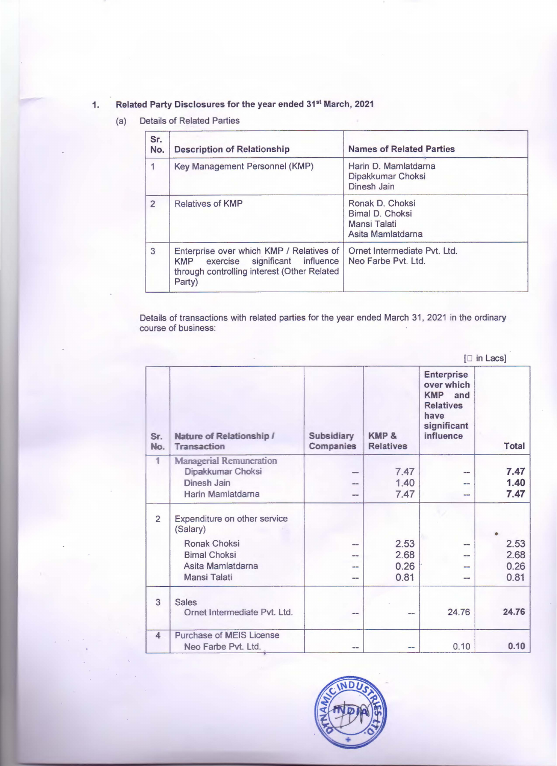## 1. Related Party Disclosures for the year ended 31st March, 2021

(a) Details of Related Parties

| Sr.<br>No.     | <b>Description of Relationship</b>                                                                                                      | <b>Names of Related Parties</b>                                         |
|----------------|-----------------------------------------------------------------------------------------------------------------------------------------|-------------------------------------------------------------------------|
| 1              | Key Management Personnel (KMP)                                                                                                          | Harin D. Mamlatdarna<br>Dipakkumar Choksi<br>Dinesh Jain                |
| $\overline{2}$ | <b>Relatives of KMP</b>                                                                                                                 | Ronak D. Choksi<br>Bimal D. Choksi<br>Mansi Talati<br>Asita Mamlatdarna |
| $\mathbf{3}$   | Enterprise over which KMP / Relatives of<br>KMP exercise significant influence<br>through controlling interest (Other Related<br>Party) | Ornet Intermediate Pvt. Ltd.<br>Neo Farbe Pyt. Ltd.                     |

Details of transactions with related parties for the year ended March 31 , 2021 in the ordinary course of business:

|                |                                                                                                                      |                                | $[\Box$ in Lacs]             |                                                                                                              |                              |  |  |
|----------------|----------------------------------------------------------------------------------------------------------------------|--------------------------------|------------------------------|--------------------------------------------------------------------------------------------------------------|------------------------------|--|--|
| Sr.<br>No.     | <b>Nature of Relationship /</b><br><b>Transaction</b>                                                                | <b>Subsidiary</b><br>Companies | KMP &<br><b>Relatives</b>    | <b>Enterprise</b><br>over which<br><b>KMP</b><br>and<br><b>Relatives</b><br>have<br>significant<br>influence | Total                        |  |  |
| $\overline{1}$ | <b>Managerial Remuneration</b><br>Dipakkumar Choksi<br>Dinesh Jain<br>Harin Mamlatdarna                              |                                | 7.47<br>1.40<br>7.47         | --<br>--<br>--                                                                                               | 7.47<br>1.40<br>7.47         |  |  |
| $\overline{2}$ | Expenditure on other service<br>(Salary)<br>Ronak Choksi<br><b>Bimal Choksi</b><br>Asita Mamlatdarna<br>Mansi Talati |                                | 2.53<br>2.68<br>0.26<br>0.81 | $\frac{1}{2}$<br>--<br>--<br>$-1$                                                                            | 2.53<br>2.68<br>0.26<br>0.81 |  |  |
| 3              | <b>Sales</b><br>Ornet Intermediate Pvt. Ltd.                                                                         |                                |                              | 24.76                                                                                                        | 24.76                        |  |  |
| $\Delta$       | <b>Purchase of MEIS License</b><br>Neo Farbe Pvt. Ltd.                                                               | $- -$                          | --                           | 0.10                                                                                                         | 0.10                         |  |  |